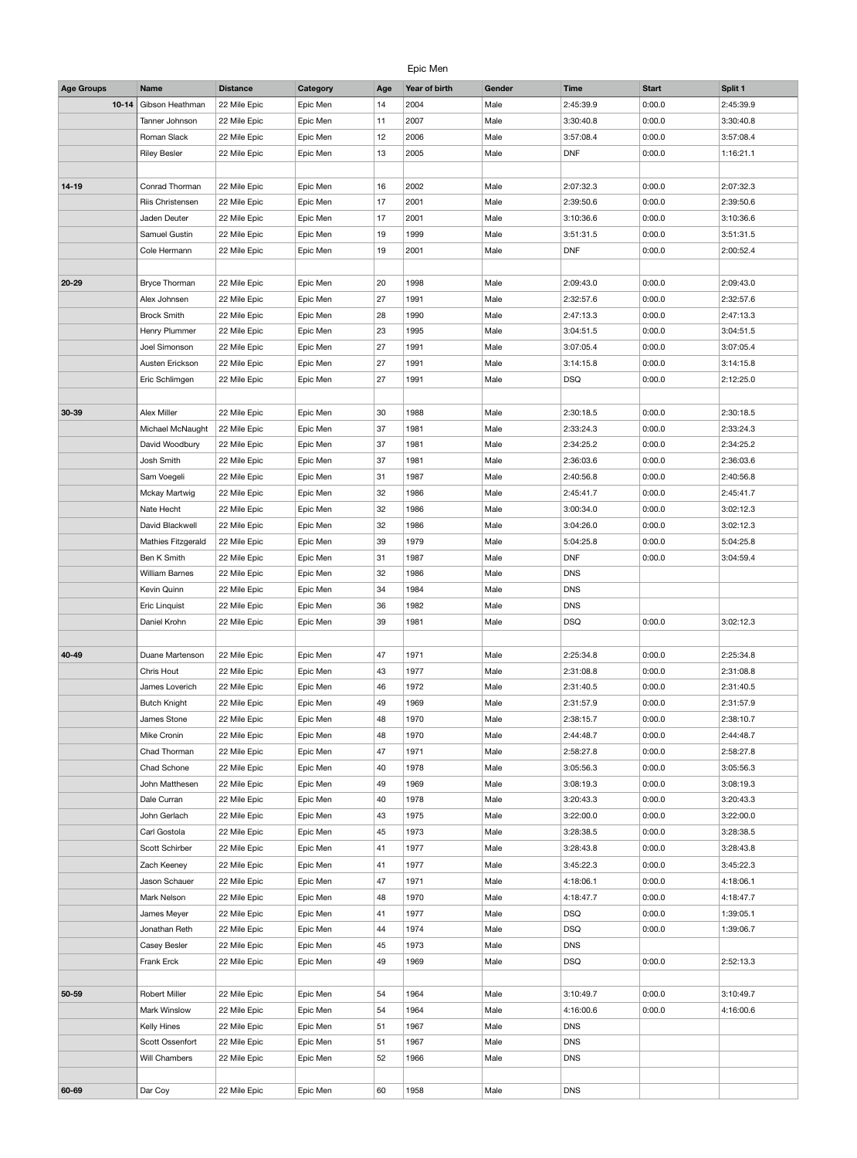## Epic Men

| <b>Age Groups</b> | <b>Name</b>           | <b>Distance</b> | <b>Category</b> | Age | Year of birth | Gender | <b>Time</b> | <b>Start</b> | Split 1   |
|-------------------|-----------------------|-----------------|-----------------|-----|---------------|--------|-------------|--------------|-----------|
| $10 - 14$         | Gibson Heathman       | 22 Mile Epic    | Epic Men        | 14  | 2004          | Male   | 2:45:39.9   | 0:00.0       | 2:45:39.9 |
|                   | Tanner Johnson        | 22 Mile Epic    | Epic Men        | 11  | 2007          | Male   | 3:30:40.8   | 0:00.0       | 3:30:40.8 |
|                   | Roman Slack           | 22 Mile Epic    | Epic Men        | 12  | 2006          | Male   | 3:57:08.4   | 0:00.0       | 3:57:08.4 |
|                   | <b>Riley Besler</b>   | 22 Mile Epic    | Epic Men        | 13  | 2005          | Male   | <b>DNF</b>  | 0:00.0       | 1:16:21.1 |
|                   |                       |                 |                 |     |               |        |             |              |           |
|                   |                       |                 |                 |     |               |        |             |              |           |
| $14-19$           | Conrad Thorman        | 22 Mile Epic    | Epic Men        | 16  | 2002          | Male   | 2:07:32.3   | 0:00.0       | 2:07:32.3 |
|                   | Riis Christensen      | 22 Mile Epic    | Epic Men        | 17  | 2001          | Male   | 2:39:50.6   | 0:00.0       | 2:39:50.6 |
|                   | Jaden Deuter          | 22 Mile Epic    | Epic Men        | 17  | 2001          | Male   | 3:10:36.6   | 0:00.0       | 3:10:36.6 |
|                   | Samuel Gustin         | 22 Mile Epic    | Epic Men        | 19  | 1999          | Male   | 3:51:31.5   | 0:00.0       | 3:51:31.5 |
|                   | Cole Hermann          | 22 Mile Epic    | Epic Men        | 19  | 2001          | Male   | <b>DNF</b>  | 0:00.0       | 2:00:52.4 |
|                   |                       |                 |                 |     |               |        |             |              |           |
| $20 - 29$         | <b>Bryce Thorman</b>  | 22 Mile Epic    | Epic Men        | 20  | 1998          | Male   | 2:09:43.0   | 0:00.0       | 2:09:43.0 |
|                   | Alex Johnsen          | 22 Mile Epic    | Epic Men        | 27  | 1991          | Male   | 2:32:57.6   | 0:00.0       | 2:32:57.6 |
|                   | <b>Brock Smith</b>    | 22 Mile Epic    | Epic Men        | 28  | 1990          | Male   | 2:47:13.3   | 0:00.0       | 2:47:13.3 |
|                   | Henry Plummer         | 22 Mile Epic    | Epic Men        | 23  | 1995          | Male   | 3:04:51.5   | 0:00.0       | 3:04:51.5 |
|                   | Joel Simonson         | 22 Mile Epic    | Epic Men        | 27  | 1991          | Male   | 3:07:05.4   | 0:00.0       | 3:07:05.4 |
|                   | Austen Erickson       | 22 Mile Epic    | Epic Men        | 27  | 1991          | Male   | 3:14:15.8   | 0:00.0       | 3:14:15.8 |
|                   | Eric Schlimgen        | 22 Mile Epic    | Epic Men        | 27  | 1991          | Male   | <b>DSQ</b>  | 0:00.0       | 2:12:25.0 |
|                   |                       |                 |                 |     |               |        |             |              |           |
| 30-39             | Alex Miller           | 22 Mile Epic    | Epic Men        | 30  | 1988          | Male   | 2:30:18.5   | 0:00.0       | 2:30:18.5 |
|                   | Michael McNaught      | 22 Mile Epic    | Epic Men        | 37  | 1981          | Male   | 2:33:24.3   | 0:00.0       | 2:33:24.3 |
|                   | David Woodbury        | 22 Mile Epic    | Epic Men        | 37  | 1981          | Male   | 2:34:25.2   | 0:00.0       | 2:34:25.2 |
|                   | Josh Smith            | 22 Mile Epic    | Epic Men        | 37  | 1981          | Male   | 2:36:03.6   | 0:00.0       | 2:36:03.6 |
|                   | Sam Voegeli           | 22 Mile Epic    | Epic Men        | 31  | 1987          | Male   | 2:40:56.8   | 0:00.0       | 2:40:56.8 |
|                   | Mckay Martwig         | 22 Mile Epic    | Epic Men        | 32  | 1986          | Male   | 2:45:41.7   | 0:00.0       | 2:45:41.7 |
|                   | Nate Hecht            |                 | Epic Men        | 32  | 1986          | Male   | 3:00:34.0   | 0:00.0       | 3:02:12.3 |
|                   |                       | 22 Mile Epic    |                 |     |               |        |             |              |           |
|                   | David Blackwell       | 22 Mile Epic    | Epic Men        | 32  | 1986          | Male   | 3:04:26.0   | 0:00.0       | 3:02:12.3 |
|                   | Mathies Fitzgerald    | 22 Mile Epic    | Epic Men        | 39  | 1979          | Male   | 5:04:25.8   | 0:00.0       | 5:04:25.8 |
|                   | Ben K Smith           | 22 Mile Epic    | Epic Men        | 31  | 1987          | Male   | <b>DNF</b>  | 0:00.0       | 3:04:59.4 |
|                   | <b>William Barnes</b> | 22 Mile Epic    | Epic Men        | 32  | 1986          | Male   | <b>DNS</b>  |              |           |
|                   | Kevin Quinn           | 22 Mile Epic    | Epic Men        | 34  | 1984          | Male   | <b>DNS</b>  |              |           |
|                   | Eric Linquist         | 22 Mile Epic    | Epic Men        | 36  | 1982          | Male   | <b>DNS</b>  |              |           |
|                   | Daniel Krohn          | 22 Mile Epic    | Epic Men        | 39  | 1981          | Male   | <b>DSQ</b>  | 0:00.0       | 3:02:12.3 |
|                   |                       |                 |                 |     |               |        |             |              |           |
| 40-49             | Duane Martenson       | 22 Mile Epic    | Epic Men        | 47  | 1971          | Male   | 2:25:34.8   | 0:00.0       | 2:25:34.8 |
|                   | Chris Hout            | 22 Mile Epic    | Epic Men        | 43  | 1977          | Male   | 2:31:08.8   | 0:00.0       | 2:31:08.8 |
|                   | James Loverich        | 22 Mile Epic    | Epic Men        | 46  | 1972          | Male   | 2:31:40.5   | 0:00.0       | 2:31:40.5 |
|                   | <b>Butch Knight</b>   | 22 Mile Epic    | Epic Men        | 49  | 1969          | Male   | 2:31:57.9   | 0:00.0       | 2:31:57.9 |
|                   | James Stone           | 22 Mile Epic    | Epic Men        | 48  | 1970          | Male   | 2:38:15.7   | 0:00.0       | 2:38:10.7 |
|                   | Mike Cronin           | 22 Mile Epic    | Epic Men        | 48  | 1970          | Male   | 2:44:48.7   | 0:00.0       | 2:44:48.7 |
|                   | Chad Thorman          | 22 Mile Epic    | Epic Men        | 47  | 1971          | Male   | 2:58:27.8   | 0:00.0       | 2:58:27.8 |
|                   | Chad Schone           | 22 Mile Epic    | Epic Men        | 40  | 1978          | Male   | 3:05:56.3   | 0:00.0       | 3:05:56.3 |
|                   | John Matthesen        | 22 Mile Epic    | Epic Men        | 49  | 1969          | Male   | 3:08:19.3   | 0:00.0       | 3:08:19.3 |
|                   | Dale Curran           | 22 Mile Epic    | Epic Men        | 40  | 1978          | Male   | 3:20:43.3   | 0:00.0       | 3:20:43.3 |
|                   | John Gerlach          | 22 Mile Epic    | Epic Men        | 43  | 1975          | Male   | 3:22:00.0   | 0:00.0       | 3:22:00.0 |
|                   | Carl Gostola          | 22 Mile Epic    | Epic Men        | 45  | 1973          | Male   | 3:28:38.5   | 0:00.0       | 3:28:38.5 |
|                   | Scott Schirber        | 22 Mile Epic    | Epic Men        | 41  | 1977          | Male   | 3:28:43.8   | 0:00.0       | 3:28:43.8 |
|                   | Zach Keeney           | 22 Mile Epic    | Epic Men        | 41  | 1977          | Male   | 3:45:22.3   | 0:00.0       | 3:45:22.3 |
|                   | Jason Schauer         | 22 Mile Epic    | Epic Men        | 47  | 1971          | Male   | 4:18:06.1   | 0:00.0       | 4:18:06.1 |
|                   | Mark Nelson           | 22 Mile Epic    | Epic Men        | 48  | 1970          | Male   | 4:18:47.7   | 0:00.0       | 4:18:47.7 |
|                   | James Meyer           | 22 Mile Epic    | Epic Men        | 41  | 1977          | Male   | <b>DSQ</b>  | 0:00.0       | 1:39:05.1 |
|                   | Jonathan Reth         | 22 Mile Epic    | Epic Men        | 44  | 1974          | Male   | <b>DSQ</b>  | 0:00.0       | 1:39:06.7 |
|                   | Casey Besler          | 22 Mile Epic    | Epic Men        | 45  | 1973          | Male   | <b>DNS</b>  |              |           |
|                   | Frank Erck            | 22 Mile Epic    | Epic Men        | 49  | 1969          | Male   | <b>DSQ</b>  | 0:00.0       | 2:52:13.3 |
|                   |                       |                 |                 |     |               |        |             |              |           |
| 50-59             | <b>Robert Miller</b>  | 22 Mile Epic    | Epic Men        | 54  | 1964          | Male   | 3:10:49.7   | 0:00.0       | 3:10:49.7 |
|                   | Mark Winslow          |                 |                 |     |               |        |             |              |           |
|                   |                       | 22 Mile Epic    | Epic Men        | 54  | 1964          | Male   | 4:16:00.6   | 0:00.0       | 4:16:00.6 |
|                   | Kelly Hines           | 22 Mile Epic    | Epic Men        | 51  | 1967          | Male   | <b>DNS</b>  |              |           |
|                   | Scott Ossenfort       | 22 Mile Epic    | Epic Men        | 51  | 1967          | Male   | <b>DNS</b>  |              |           |
|                   | Will Chambers         | 22 Mile Epic    | Epic Men        | 52  | 1966          | Male   | <b>DNS</b>  |              |           |
|                   |                       |                 |                 |     |               |        |             |              |           |
| 60-69             | Dar Coy               | 22 Mile Epic    | Epic Men        | 60  | 1958          | Male   | <b>DNS</b>  |              |           |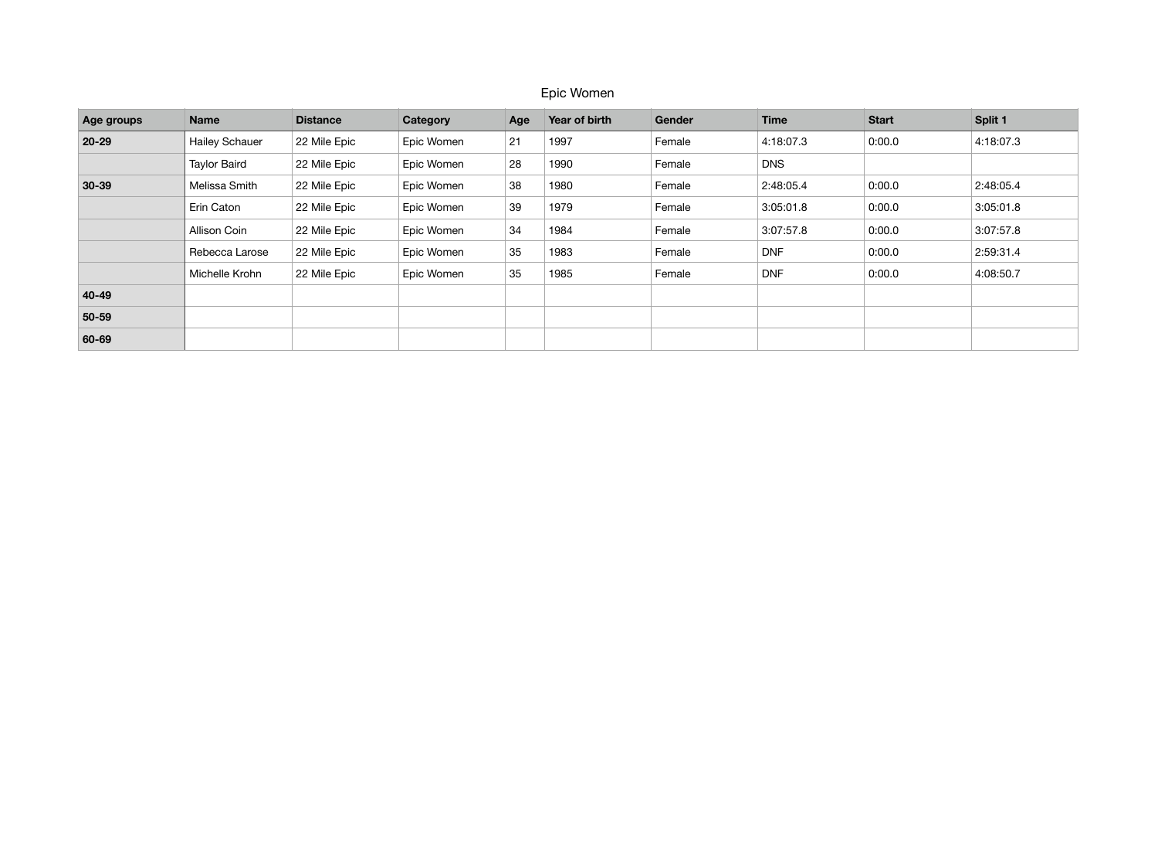## Epic Women

| Age groups | <b>Name</b>           | <b>Distance</b> | Category   | Age | Year of birth | Gender | <b>Time</b> | <b>Start</b> | Split 1   |
|------------|-----------------------|-----------------|------------|-----|---------------|--------|-------------|--------------|-----------|
| 20-29      | <b>Hailey Schauer</b> | 22 Mile Epic    | Epic Women | 21  | 1997          | Female | 4:18:07.3   | 0:00.0       | 4:18:07.3 |
|            | <b>Taylor Baird</b>   | 22 Mile Epic    | Epic Women | 28  | 1990          | Female | <b>DNS</b>  |              |           |
| $30 - 39$  | Melissa Smith         | 22 Mile Epic    | Epic Women | 38  | 1980          | Female | 2:48:05.4   | 0:00.0       | 2:48:05.4 |
|            | Erin Caton            | 22 Mile Epic    | Epic Women | 39  | 1979          | Female | 3:05:01.8   | 0:00.0       | 3:05:01.8 |
|            | Allison Coin          | 22 Mile Epic    | Epic Women | 34  | 1984          | Female | 3:07:57.8   | 0:00.0       | 3:07:57.8 |
|            | Rebecca Larose        | 22 Mile Epic    | Epic Women | 35  | 1983          | Female | <b>DNF</b>  | 0:00.0       | 2:59:31.4 |
|            | Michelle Krohn        | 22 Mile Epic    | Epic Women | 35  | 1985          | Female | <b>DNF</b>  | 0:00.0       | 4:08:50.7 |
| 40-49      |                       |                 |            |     |               |        |             |              |           |
| 50-59      |                       |                 |            |     |               |        |             |              |           |
| 60-69      |                       |                 |            |     |               |        |             |              |           |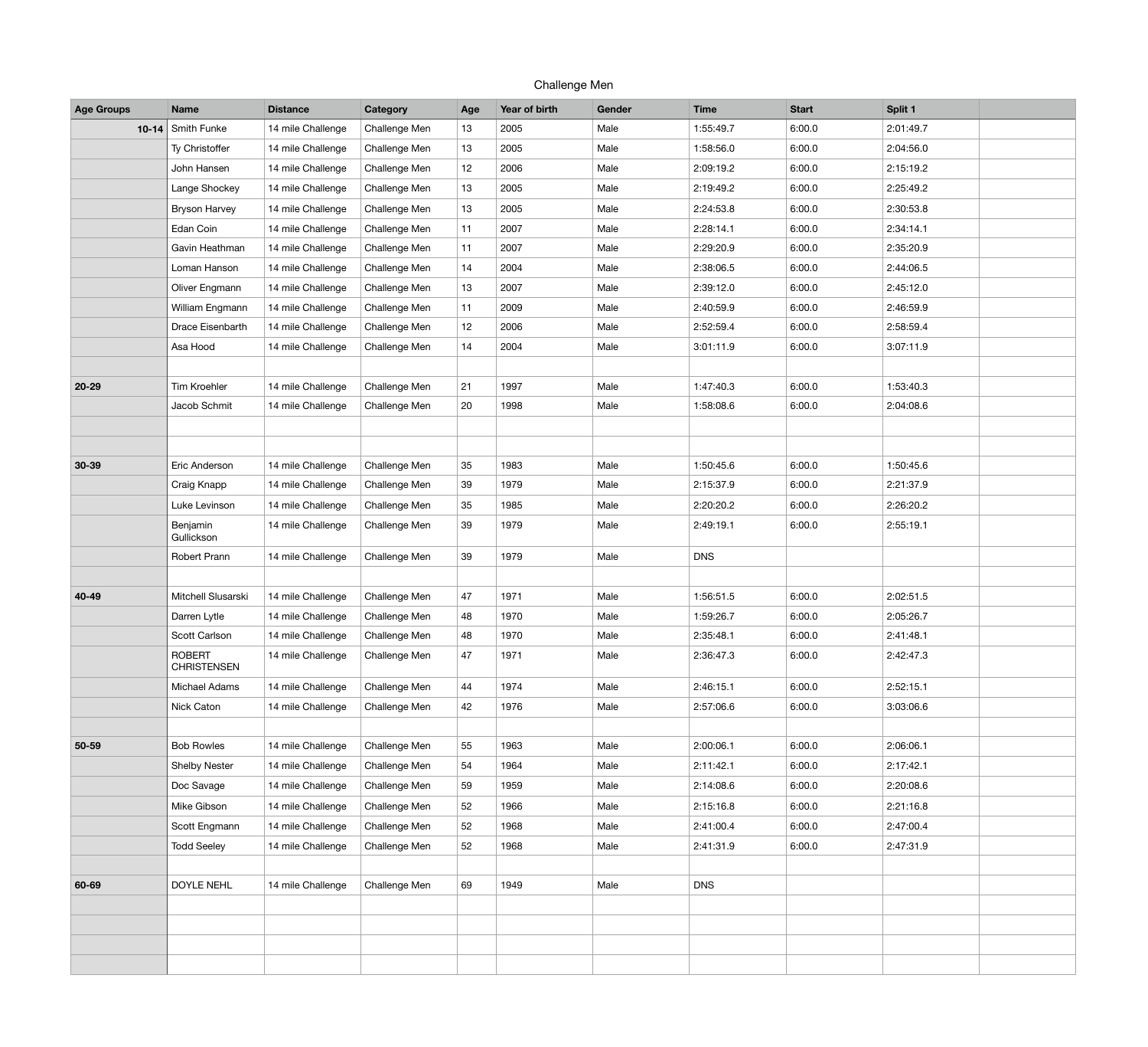| Challenge Men     |                                     |                   |               |     |               |        |             |              |           |  |
|-------------------|-------------------------------------|-------------------|---------------|-----|---------------|--------|-------------|--------------|-----------|--|
| <b>Age Groups</b> | <b>Name</b>                         | <b>Distance</b>   | Category      | Age | Year of birth | Gender | <b>Time</b> | <b>Start</b> | Split 1   |  |
| $10 - 14$         | Smith Funke                         | 14 mile Challenge | Challenge Men | 13  | 2005          | Male   | 1:55:49.7   | 6:00.0       | 2:01:49.7 |  |
|                   | Ty Christoffer                      | 14 mile Challenge | Challenge Men | 13  | 2005          | Male   | 1:58:56.0   | 6:00.0       | 2:04:56.0 |  |
|                   | John Hansen                         | 14 mile Challenge | Challenge Men | 12  | 2006          | Male   | 2:09:19.2   | 6:00.0       | 2:15:19.2 |  |
|                   | Lange Shockey                       | 14 mile Challenge | Challenge Men | 13  | 2005          | Male   | 2:19:49.2   | 6:00.0       | 2:25:49.2 |  |
|                   | <b>Bryson Harvey</b>                | 14 mile Challenge | Challenge Men | 13  | 2005          | Male   | 2:24:53.8   | 6:00.0       | 2:30:53.8 |  |
|                   | Edan Coin                           | 14 mile Challenge | Challenge Men | 11  | 2007          | Male   | 2:28:14.1   | 6:00.0       | 2:34:14.1 |  |
|                   | Gavin Heathman                      | 14 mile Challenge | Challenge Men | 11  | 2007          | Male   | 2:29:20.9   | 6:00.0       | 2:35:20.9 |  |
|                   | Loman Hanson                        | 14 mile Challenge | Challenge Men | 14  | 2004          | Male   | 2:38:06.5   | 6:00.0       | 2:44:06.5 |  |
|                   | Oliver Engmann                      | 14 mile Challenge | Challenge Men | 13  | 2007          | Male   | 2:39:12.0   | 6:00.0       | 2:45:12.0 |  |
|                   | William Engmann                     | 14 mile Challenge | Challenge Men | 11  | 2009          | Male   | 2:40:59.9   | 6:00.0       | 2:46:59.9 |  |
|                   | Drace Eisenbarth                    | 14 mile Challenge | Challenge Men | 12  | 2006          | Male   | 2:52:59.4   | 6:00.0       | 2:58:59.4 |  |
|                   | Asa Hood                            | 14 mile Challenge | Challenge Men | 14  | 2004          | Male   | 3:01:11.9   | 6:00.0       | 3:07:11.9 |  |
|                   |                                     |                   |               |     |               |        |             |              |           |  |
| $20 - 29$         | Tim Kroehler                        | 14 mile Challenge | Challenge Men | 21  | 1997          | Male   | 1:47:40.3   | 6:00.0       | 1:53:40.3 |  |
|                   | Jacob Schmit                        | 14 mile Challenge | Challenge Men | 20  | 1998          | Male   | 1:58:08.6   | 6:00.0       | 2:04:08.6 |  |
|                   |                                     |                   |               |     |               |        |             |              |           |  |
|                   |                                     |                   |               |     |               |        |             |              |           |  |
| $30 - 39$         | Eric Anderson                       | 14 mile Challenge | Challenge Men | 35  | 1983          | Male   | 1:50:45.6   | 6:00.0       | 1:50:45.6 |  |
|                   | Craig Knapp                         | 14 mile Challenge | Challenge Men | 39  | 1979          | Male   | 2:15:37.9   | 6:00.0       | 2:21:37.9 |  |
|                   | Luke Levinson                       | 14 mile Challenge | Challenge Men | 35  | 1985          | Male   | 2:20:20.2   | 6:00.0       | 2:26:20.2 |  |
|                   | Benjamin<br>Gullickson              | 14 mile Challenge | Challenge Men | 39  | 1979          | Male   | 2:49:19.1   | 6:00.0       | 2:55:19.1 |  |
|                   | <b>Robert Prann</b>                 | 14 mile Challenge | Challenge Men | 39  | 1979          | Male   | <b>DNS</b>  |              |           |  |
|                   |                                     |                   |               |     |               |        |             |              |           |  |
| 40-49             | Mitchell Slusarski                  | 14 mile Challenge | Challenge Men | 47  | 1971          | Male   | 1:56:51.5   | 6:00.0       | 2:02:51.5 |  |
|                   | Darren Lytle                        | 14 mile Challenge | Challenge Men | 48  | 1970          | Male   | 1:59:26.7   | 6:00.0       | 2:05:26.7 |  |
|                   | Scott Carlson                       | 14 mile Challenge | Challenge Men | 48  | 1970          | Male   | 2:35:48.1   | 6:00.0       | 2:41:48.1 |  |
|                   | <b>ROBERT</b><br><b>CHRISTENSEN</b> | 14 mile Challenge | Challenge Men | 47  | 1971          | Male   | 2:36:47.3   | 6:00.0       | 2:42:47.3 |  |
|                   | Michael Adams                       | 14 mile Challenge | Challenge Men | 44  | 1974          | Male   | 2:46:15.1   | 6:00.0       | 2:52:15.1 |  |
|                   | Nick Caton                          | 14 mile Challenge | Challenge Men | 42  | 1976          | Male   | 2:57:06.6   | 6:00.0       | 3:03:06.6 |  |
|                   |                                     |                   |               |     |               |        |             |              |           |  |
| 50-59             | <b>Bob Rowles</b>                   | 14 mile Challenge | Challenge Men | 55  | 1963          | Male   | 2:00:06.1   | 6:00.0       | 2:06:06.1 |  |
|                   | <b>Shelby Nester</b>                | 14 mile Challenge | Challenge Men | 54  | 1964          | Male   | 2:11:42.1   | 6:00.0       | 2:17:42.1 |  |
|                   | Doc Savage                          | 14 mile Challenge | Challenge Men | 59  | 1959          | Male   | 2:14:08.6   | 6:00.0       | 2:20:08.6 |  |
|                   | Mike Gibson                         | 14 mile Challenge | Challenge Men | 52  | 1966          | Male   | 2:15:16.8   | 6:00.0       | 2:21:16.8 |  |
|                   | Scott Engmann                       | 14 mile Challenge | Challenge Men | 52  | 1968          | Male   | 2:41:00.4   | 6:00.0       | 2:47:00.4 |  |
|                   | <b>Todd Seeley</b>                  | 14 mile Challenge | Challenge Men | 52  | 1968          | Male   | 2:41:31.9   | 6:00.0       | 2:47:31.9 |  |
| 60-69             | <b>DOYLE NEHL</b>                   | 14 mile Challenge | Challenge Men | 69  | 1949          | Male   | <b>DNS</b>  |              |           |  |
|                   |                                     |                   |               |     |               |        |             |              |           |  |
|                   |                                     |                   |               |     |               |        |             |              |           |  |
|                   |                                     |                   |               |     |               |        |             |              |           |  |
|                   |                                     |                   |               |     |               |        |             |              |           |  |
|                   |                                     |                   |               |     |               |        |             |              |           |  |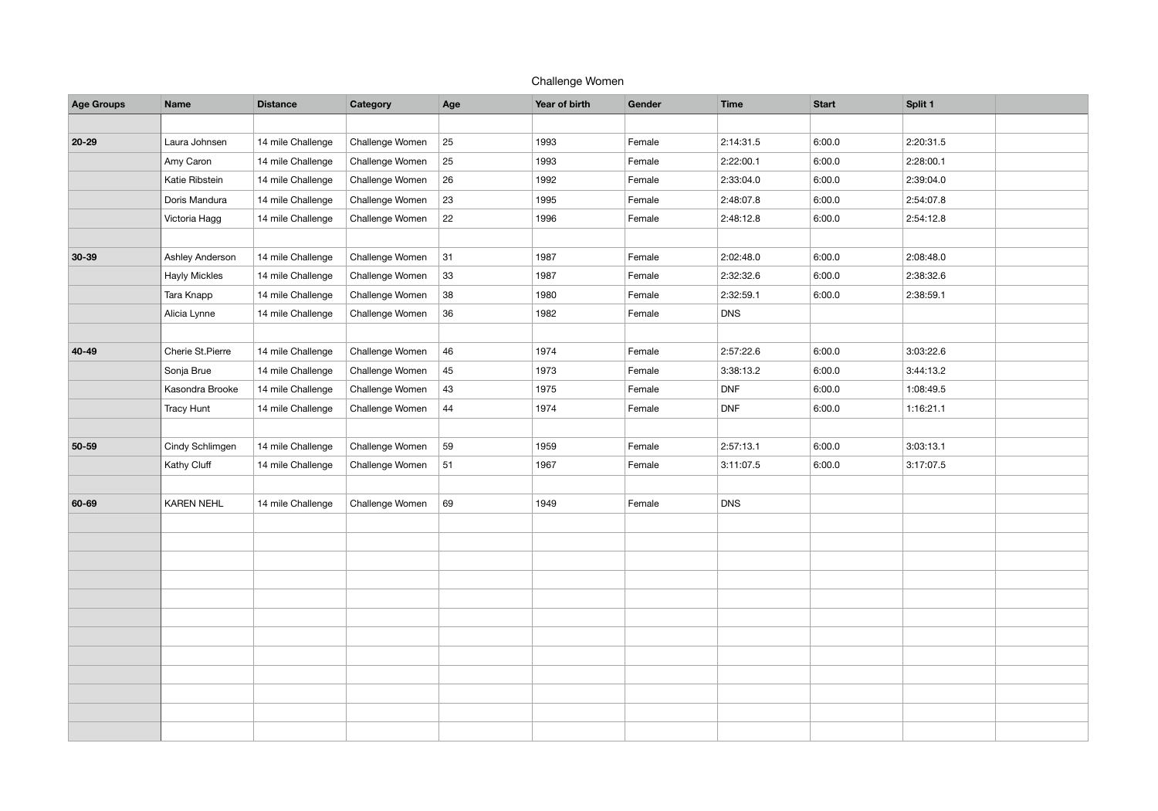## Challenge Women

| <b>Age Groups</b> | <b>Name</b>          | <b>Distance</b>   | Category        | Age | Year of birth | Gender | <b>Time</b> | <b>Start</b> | Split 1   |  |
|-------------------|----------------------|-------------------|-----------------|-----|---------------|--------|-------------|--------------|-----------|--|
|                   |                      |                   |                 |     |               |        |             |              |           |  |
| $20 - 29$         | Laura Johnsen        | 14 mile Challenge | Challenge Women | 25  | 1993          | Female | 2:14:31.5   | 6:00.0       | 2:20:31.5 |  |
|                   | Amy Caron            | 14 mile Challenge | Challenge Women | 25  | 1993          | Female | 2:22:00.1   | 6:00.0       | 2:28:00.1 |  |
|                   | Katie Ribstein       | 14 mile Challenge | Challenge Women | 26  | 1992          | Female | 2:33:04.0   | 6:00.0       | 2:39:04.0 |  |
|                   | Doris Mandura        | 14 mile Challenge | Challenge Women | 23  | 1995          | Female | 2:48:07.8   | 6:00.0       | 2:54:07.8 |  |
|                   | Victoria Hagg        | 14 mile Challenge | Challenge Women | 22  | 1996          | Female | 2:48:12.8   | 6:00.0       | 2:54:12.8 |  |
|                   |                      |                   |                 |     |               |        |             |              |           |  |
| $30 - 39$         | Ashley Anderson      | 14 mile Challenge | Challenge Women | 31  | 1987          | Female | 2:02:48.0   | 6:00.0       | 2:08:48.0 |  |
|                   | <b>Hayly Mickles</b> | 14 mile Challenge | Challenge Women | 33  | 1987          | Female | 2:32:32.6   | 6:00.0       | 2:38:32.6 |  |
|                   | Tara Knapp           | 14 mile Challenge | Challenge Women | 38  | 1980          | Female | 2:32:59.1   | 6:00.0       | 2:38:59.1 |  |
|                   | Alicia Lynne         | 14 mile Challenge | Challenge Women | 36  | 1982          | Female | <b>DNS</b>  |              |           |  |
|                   |                      |                   |                 |     |               |        |             |              |           |  |
| 40-49             | Cherie St. Pierre    | 14 mile Challenge | Challenge Women | 46  | 1974          | Female | 2:57:22.6   | 6:00.0       | 3:03:22.6 |  |
|                   | Sonja Brue           | 14 mile Challenge | Challenge Women | 45  | 1973          | Female | 3:38:13.2   | 6:00.0       | 3:44:13.2 |  |
|                   | Kasondra Brooke      | 14 mile Challenge | Challenge Women | 43  | 1975          | Female | <b>DNF</b>  | 6:00.0       | 1:08:49.5 |  |
|                   | <b>Tracy Hunt</b>    | 14 mile Challenge | Challenge Women | 44  | 1974          | Female | <b>DNF</b>  | 6:00.0       | 1:16:21.1 |  |
|                   |                      |                   |                 |     |               |        |             |              |           |  |
| 50-59             | Cindy Schlimgen      | 14 mile Challenge | Challenge Women | 59  | 1959          | Female | 2:57:13.1   | 6:00.0       | 3:03:13.1 |  |
|                   | Kathy Cluff          | 14 mile Challenge | Challenge Women | 51  | 1967          | Female | 3:11:07.5   | 6:00.0       | 3:17:07.5 |  |
|                   |                      |                   |                 |     |               |        |             |              |           |  |
| 60-69             | <b>KAREN NEHL</b>    | 14 mile Challenge | Challenge Women | 69  | 1949          | Female | <b>DNS</b>  |              |           |  |
|                   |                      |                   |                 |     |               |        |             |              |           |  |
|                   |                      |                   |                 |     |               |        |             |              |           |  |
|                   |                      |                   |                 |     |               |        |             |              |           |  |
|                   |                      |                   |                 |     |               |        |             |              |           |  |
|                   |                      |                   |                 |     |               |        |             |              |           |  |
|                   |                      |                   |                 |     |               |        |             |              |           |  |
|                   |                      |                   |                 |     |               |        |             |              |           |  |
|                   |                      |                   |                 |     |               |        |             |              |           |  |
|                   |                      |                   |                 |     |               |        |             |              |           |  |
|                   |                      |                   |                 |     |               |        |             |              |           |  |
|                   |                      |                   |                 |     |               |        |             |              |           |  |
|                   |                      |                   |                 |     |               |        |             |              |           |  |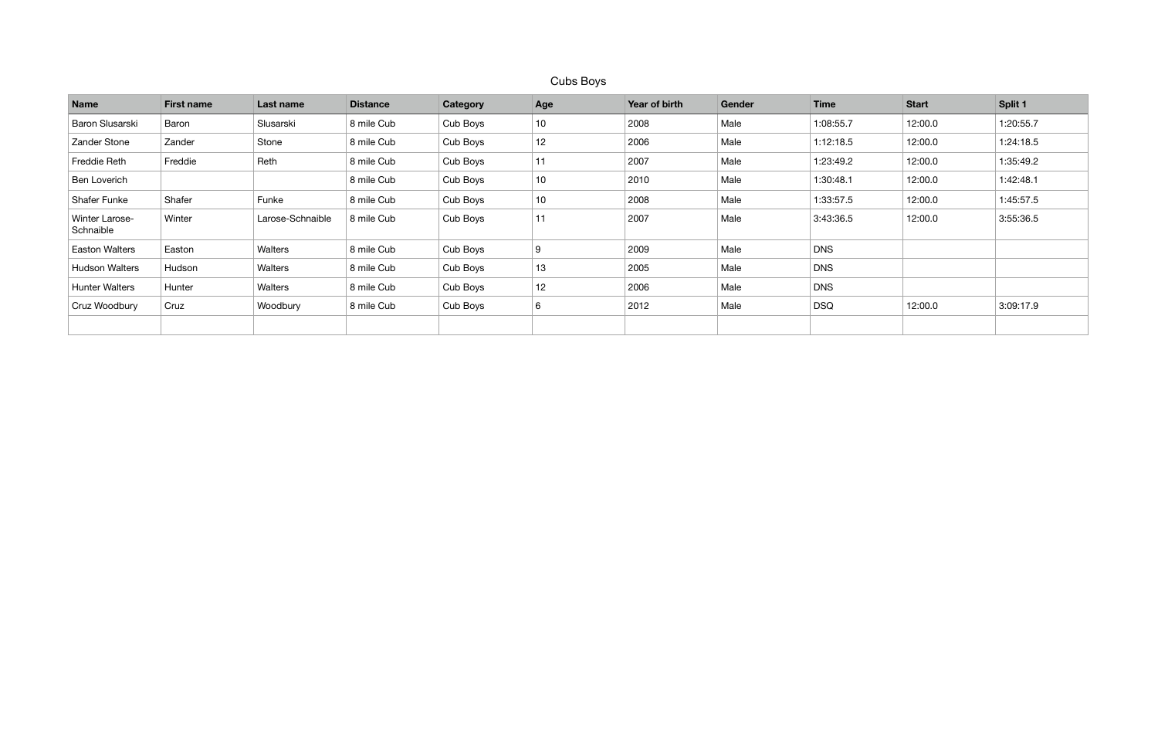## Cubs Boys

| <b>Name</b>                 | <b>First name</b> | Last name        | <b>Distance</b> | Category | Age             | Year of birth | Gender | <b>Time</b> | <b>Start</b> | Split 1   |
|-----------------------------|-------------------|------------------|-----------------|----------|-----------------|---------------|--------|-------------|--------------|-----------|
| Baron Slusarski             | Baron             | Slusarski        | 8 mile Cub      | Cub Boys | 10              | 2008          | Male   | 1:08:55.7   | 12:00.0      | 1:20:55.7 |
| Zander Stone                | Zander            | Stone            | 8 mile Cub      | Cub Boys | 12              | 2006          | Male   | 1:12:18.5   | 12:00.0      | 1:24:18.5 |
| Freddie Reth                | Freddie           | Reth             | 8 mile Cub      | Cub Boys | 11              | 2007          | Male   | 1:23:49.2   | 12:00.0      | 1:35:49.2 |
| Ben Loverich                |                   |                  | 8 mile Cub      | Cub Boys | 10 <sub>1</sub> | 2010          | Male   | 1:30:48.1   | 12:00.0      | 1:42:48.1 |
| <b>Shafer Funke</b>         | Shafer            | Funke            | 8 mile Cub      | Cub Boys | 10 <sub>1</sub> | 2008          | Male   | 1:33:57.5   | 12:00.0      | 1:45:57.5 |
| Winter Larose-<br>Schnaible | Winter            | Larose-Schnaible | 8 mile Cub      | Cub Boys | 11              | 2007          | Male   | 3:43:36.5   | 12:00.0      | 3:55:36.5 |
| <b>Easton Walters</b>       | Easton            | Walters          | 8 mile Cub      | Cub Boys | 9               | 2009          | Male   | <b>DNS</b>  |              |           |
| <b>Hudson Walters</b>       | Hudson            | Walters          | 8 mile Cub      | Cub Boys | 13              | 2005          | Male   | <b>DNS</b>  |              |           |
| <b>Hunter Walters</b>       | Hunter            | Walters          | 8 mile Cub      | Cub Boys | 12              | 2006          | Male   | <b>DNS</b>  |              |           |
| Cruz Woodbury               | Cruz              | Woodbury         | 8 mile Cub      | Cub Boys | 6               | 2012          | Male   | <b>DSQ</b>  | 12:00.0      | 3:09:17.9 |
|                             |                   |                  |                 |          |                 |               |        |             |              |           |